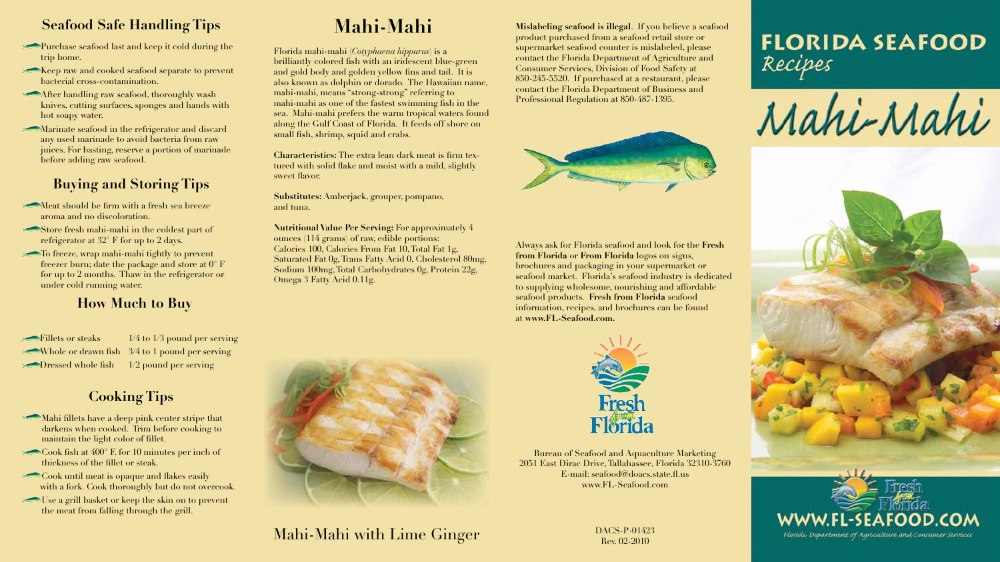**Mislabeling seafood is illegal**. If you believe a seafood product purchased from a seafood retail store or supermarket seafood counter is mislabeled, please contact the Florida Department of Agriculture and Consumer Services, Division of Food Safety at 850-245-5520. If purchased at a restaurant, please contact the Florida Department of Business and Professional Regulation at 850-487-1395.



Always ask for Florida seafood and look for the **Fresh from Florida** or **From Florida** logos on signs, brochures and packaging in your supermarket or seafood market. Florida's seafood industry is dedicated to supplying wholesome, nourishing and affordable seafood products. **Fresh from Florida** seafood information, recipes, and brochures can be found at **www.FL-Seafood.com.**



Bureau of Seafood and Aquaculture Marketing 2051 East Dirac Drive,Tallahassee, Florida 32310-3760 E-mail: seafood@doacs.state.fl.us www.FL-Seafood.com

# **Mahi-Mahi**

Florida mahi-mahi (*Cotyphaena hippurus*) is a brilliantly colored fish with an iridescent blue-green and gold body and golden yellow fins and tail. It is also known as dolphin or dorado. The Hawaiian name, mahi-mahi, means "strong-strong" referring to mahi-mahi as one of the fastest swimming fish in the sea. Mahi-mahi prefers the warm tropical waters found along the Gulf Coast of Florida. It feeds off shore on small fish, shrimp, squid and crabs.

- Meat should be firm with a fresh sea breeze aroma and no discoloration.
- Store fresh mahi-mahi in the coldest part of refrigerator at 32° F for up to 2 days.
- To freeze, wrap mahi-mahi tightly to prevent freezer burn; date the package and store at  $0^{\circ}$  F for up to 2 months. Thaw in the refrigerator or under cold running water.

**Characteristics:** The extra lean dark meat is firm textured with solid flake and moist with a mild, slightly sweet flavor.

**Substitutes:** Amberjack, grouper, pompano, and tuna.

- Mahi fillets have a deep pink center stripe that darkens when cooked. Trim before cooking to maintain the light color of fillet.
- $\sim$  Cook fish at 400 $^{\circ}$  F. for 10 minutes per inch of thickness of the fillet or steak.
- $\triangleright$  Cook until meat is opaque and flakes easily with a fork. Cook thoroughly but do not overcook.
- Use a grill basket or keep the skin on to prevent the meat from falling through the grill.

**Nutritional Value Per Serving:** For approximately 4 ounces (114 grams) of raw, edible portions: Calories 100, Calories From Fat 10,Total Fat 1g, Saturated Fat 0g, Trans Fatty Acid 0, Cholesterol 80mg, Sodium 100mg,Total Carbohydrates 0g, Protein 22g, Omega 3 Fatty Acid 0.11g.



#### **Seafood Safe Handling Tips**

- Purchase seafood last and keep it cold during the trip home.
- Keep raw and cooked seafood separate to prevent bacterial cross-contamination.
- After handling raw seafood, thoroughly wash knives, cutting surfaces, sponges and hands with hot soapy water.
- Marinate seafood in the refrigerator and discard any used marinade to avoid bacteria from raw juices. For basting, reserve a portion of marinade before adding raw seafood.

### **Buying and Storing Tips**

#### **Cooking Tips**

## Mahi-Mahi with Lime Ginger

#### **How Much to Buy**

| Fillets or steaks                   |
|-------------------------------------|
| Whole or drawn fish                 |
| $\triangleright$ Dressed whole fish |

 $1/4$  to  $1/3$  pound per serving  $3/4$  to 1 pound per serving  $1/2$  pound per serving

> DACS-P-01423 Rev. 02-2010





Mahi-Mahi